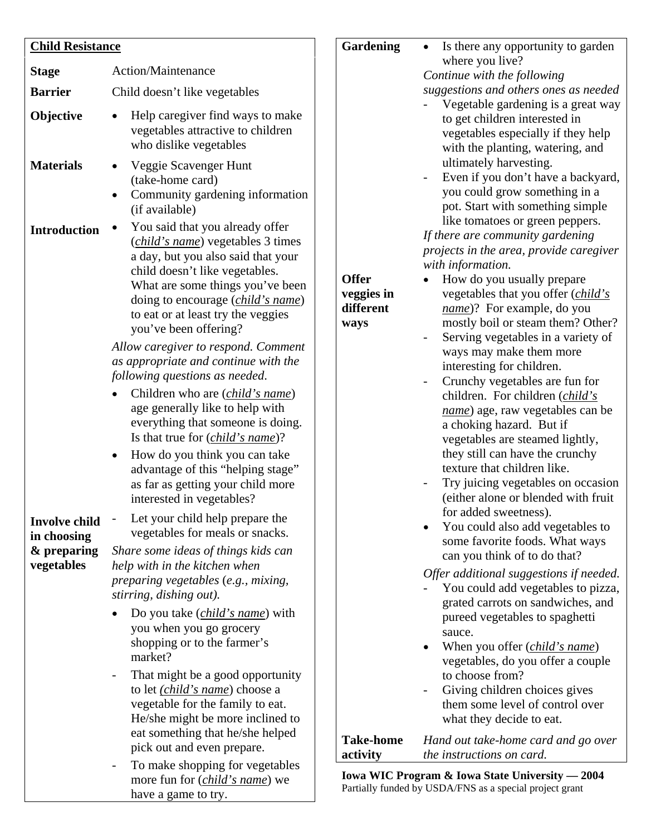| <b>Child Resistance</b>                            |                                                                                                                                                                                                                                                                                                                                                                                                                                                                                                                                                                               | <b>Gardening</b>                                | Is there any opportunity to garden<br>$\bullet$                                                                                                                                                                                                                                                                                                                                                                                                                                                                       |
|----------------------------------------------------|-------------------------------------------------------------------------------------------------------------------------------------------------------------------------------------------------------------------------------------------------------------------------------------------------------------------------------------------------------------------------------------------------------------------------------------------------------------------------------------------------------------------------------------------------------------------------------|-------------------------------------------------|-----------------------------------------------------------------------------------------------------------------------------------------------------------------------------------------------------------------------------------------------------------------------------------------------------------------------------------------------------------------------------------------------------------------------------------------------------------------------------------------------------------------------|
| <b>Stage</b>                                       | Action/Maintenance                                                                                                                                                                                                                                                                                                                                                                                                                                                                                                                                                            |                                                 | where you live?                                                                                                                                                                                                                                                                                                                                                                                                                                                                                                       |
|                                                    |                                                                                                                                                                                                                                                                                                                                                                                                                                                                                                                                                                               |                                                 | Continue with the following                                                                                                                                                                                                                                                                                                                                                                                                                                                                                           |
| <b>Barrier</b>                                     | Child doesn't like vegetables                                                                                                                                                                                                                                                                                                                                                                                                                                                                                                                                                 |                                                 | suggestions and others ones as needed<br>Vegetable gardening is a great way                                                                                                                                                                                                                                                                                                                                                                                                                                           |
| Objective                                          | Help caregiver find ways to make<br>$\bullet$<br>vegetables attractive to children<br>who dislike vegetables                                                                                                                                                                                                                                                                                                                                                                                                                                                                  |                                                 | to get children interested in<br>vegetables especially if they help<br>with the planting, watering, and<br>ultimately harvesting.                                                                                                                                                                                                                                                                                                                                                                                     |
| <b>Materials</b>                                   | Veggie Scavenger Hunt<br>$\bullet$<br>(take-home card)<br>Community gardening information<br>$\bullet$<br>(if available)                                                                                                                                                                                                                                                                                                                                                                                                                                                      |                                                 | Even if you don't have a backyard,<br>you could grow something in a<br>pot. Start with something simple                                                                                                                                                                                                                                                                                                                                                                                                               |
| <b>Introduction</b>                                | You said that you already offer<br>( <i>child's name</i> ) vegetables 3 times<br>a day, but you also said that your<br>child doesn't like vegetables.<br>What are some things you've been<br>doing to encourage ( <i>child's name</i> )<br>to eat or at least try the veggies<br>you've been offering?<br>Allow caregiver to respond. Comment<br>as appropriate and continue with the<br>following questions as needed.<br>Children who are <i>(child's name)</i><br>age generally like to help with<br>everything that someone is doing.                                     | <b>Offer</b><br>veggies in<br>different<br>ways | like tomatoes or green peppers.<br>If there are community gardening<br>projects in the area, provide caregiver<br>with information.<br>How do you usually prepare<br>vegetables that you offer (child's<br>name)? For example, do you<br>mostly boil or steam them? Other?<br>Serving vegetables in a variety of<br>ways may make them more<br>interesting for children.<br>Crunchy vegetables are fun for<br>children. For children ( <i>child's</i><br>name) age, raw vegetables can be<br>a choking hazard. But if |
| <b>Involve child</b><br>in choosing<br>& preparing | Is that true for <i>(child's name)</i> ?<br>How do you think you can take<br>$\bullet$<br>advantage of this "helping stage"<br>as far as getting your child more<br>interested in vegetables?<br>Let your child help prepare the<br>vegetables for meals or snacks.<br>Share some ideas of things kids can                                                                                                                                                                                                                                                                    |                                                 | vegetables are steamed lightly,<br>they still can have the crunchy<br>texture that children like.<br>Try juicing vegetables on occasion<br>(either alone or blended with fruit<br>for added sweetness).<br>You could also add vegetables to<br>some favorite foods. What ways<br>can you think of to do that?                                                                                                                                                                                                         |
| vegetables                                         | help with in the kitchen when<br>preparing vegetables (e.g., mixing,<br>stirring, dishing out).<br>Do you take ( <i>child's name</i> ) with<br>you when you go grocery<br>shopping or to the farmer's<br>market?<br>That might be a good opportunity<br>$\overline{\phantom{a}}$<br>to let <i>(child's name)</i> choose a<br>vegetable for the family to eat.<br>He/she might be more inclined to<br>eat something that he/she helped<br>pick out and even prepare.<br>To make shopping for vegetables<br>$\overline{\phantom{a}}$<br>more fun for ( <i>child's name</i> ) we | <b>Take-home</b><br>activity                    | Offer additional suggestions if needed.<br>You could add vegetables to pizza,<br>grated carrots on sandwiches, and<br>pureed vegetables to spaghetti<br>sauce.<br>When you offer ( <i>child's name</i> )<br>vegetables, do you offer a couple<br>to choose from?<br>Giving children choices gives<br>them some level of control over<br>what they decide to eat.<br>Hand out take-home card and go over<br>the instructions on card.<br>Iowa WIC Program & Iowa State University - 2004                               |

have a game to try.

**Iowa WIC Program & Iowa State University — 2004**  Partially funded by USDA/FNS as a special project grant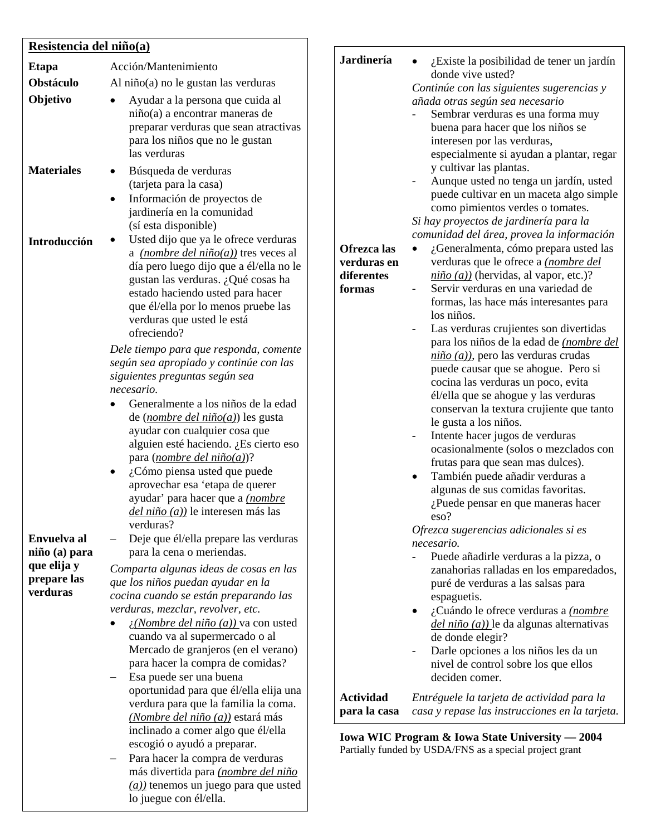## **Resistencia del niño(a)**

| <b>Etapa</b>                           | Acción/Mantenimiento                                                                                                                                                                                                                                                                                                                                                                                                                                                                                                                                                                                                                                                    |
|----------------------------------------|-------------------------------------------------------------------------------------------------------------------------------------------------------------------------------------------------------------------------------------------------------------------------------------------------------------------------------------------------------------------------------------------------------------------------------------------------------------------------------------------------------------------------------------------------------------------------------------------------------------------------------------------------------------------------|
| <b>Obstáculo</b>                       | Al niño(a) no le gustan las verduras                                                                                                                                                                                                                                                                                                                                                                                                                                                                                                                                                                                                                                    |
| Objetivo                               | Ayudar a la persona que cuida al<br>niño(a) a encontrar maneras de<br>preparar verduras que sean atractivas<br>para los niños que no le gustan<br>las verduras                                                                                                                                                                                                                                                                                                                                                                                                                                                                                                          |
| <b>Materiales</b>                      | Búsqueda de verduras<br>(tarjeta para la casa)<br>Información de proyectos de<br>jardinería en la comunidad<br>(sí esta disponible)                                                                                                                                                                                                                                                                                                                                                                                                                                                                                                                                     |
| Introducción                           | Usted dijo que ya le ofrece verduras<br>a <i>(nombre del niño(a))</i> tres veces al<br>día pero luego dijo que a él/ella no le<br>gustan las verduras. ¿Qué cosas ha<br>estado haciendo usted para hacer<br>que él/ella por lo menos pruebe las<br>verduras que usted le está<br>ofreciendo?                                                                                                                                                                                                                                                                                                                                                                            |
|                                        | Dele tiempo para que responda, comente<br>según sea apropiado y continúe con las<br>siguientes preguntas según sea<br>necesario.<br>Generalmente a los niños de la edad<br>de ( <i>nombre del niño(a)</i> ) les gusta<br>ayudar con cualquier cosa que<br>alguien esté haciendo. ¿Es cierto eso<br>para ( <i>nombre del niño(a)</i> )?<br>¿Cómo piensa usted que puede<br>aprovechar esa 'etapa de querer<br>ayudar' para hacer que a <i>(nombre</i><br><i>del niño (a))</i> le interesen más las                                                                                                                                                                       |
|                                        | verduras?                                                                                                                                                                                                                                                                                                                                                                                                                                                                                                                                                                                                                                                               |
|                                        |                                                                                                                                                                                                                                                                                                                                                                                                                                                                                                                                                                                                                                                                         |
| que elija y<br>prepare las<br>verduras | Comparta algunas ideas de cosas en las<br>que los niños puedan ayudar en la<br>cocina cuando se están preparando las<br>verduras, mezclar, revolver, etc.<br><i>i</i> ( <i>Nombre del niño (a)</i> ) va con usted<br>cuando va al supermercado o al<br>Mercado de granjeros (en el verano)<br>para hacer la compra de comidas?<br>Esa puede ser una buena<br>oportunidad para que él/ella elija una<br>verdura para que la familia la coma.<br>(Nombre del niño (a)) estará más<br>inclinado a comer algo que él/ella<br>escogió o ayudó a preparar.<br>Para hacer la compra de verduras<br>más divertida para (nombre del niño<br>(a)) tenemos un juego para que usted |
| Envuelva al<br>niño (a) para           | Deje que él/ella prepare las verduras<br>para la cena o meriendas.<br>lo juegue con él/ella.                                                                                                                                                                                                                                                                                                                                                                                                                                                                                                                                                                            |

### **Jardinería Ofrezca las verduras en diferentes formas**   $\bullet$  *i*. Existe la posibilidad de tener un jardín donde vive usted? *Continúe con las siguientes sugerencias y añada otras según sea necesario* - Sembrar verduras es una forma muy buena para hacer que los niños se interesen por las verduras, especialmente si ayudan a plantar, regar y cultivar las plantas. - Aunque usted no tenga un jardín, usted puede cultivar en un maceta algo simple como pimientos verdes o tomates. *Si hay proyectos de jardinería para la comunidad del área, provea la información* • ¿Generalmenta, cómo prepara usted las verduras que le ofrece a *(nombre del niño (a))* (hervidas, al vapor, etc.)? Servir verduras en una variedad de formas, las hace más interesantes para los niños. - Las verduras crujientes son divertidas para los niños de la edad de *(nombre del niño (a))*, pero las verduras crudas puede causar que se ahogue. Pero si cocina las verduras un poco, evita él/ella que se ahogue y las verduras conservan la textura crujiente que tanto le gusta a los niños. Intente hacer jugos de verduras ocasionalmente (solos o mezclados con frutas para que sean mas dulces). • También puede añadir verduras a algunas de sus comidas favoritas. ¿Puede pensar en que maneras hacer eso? *Ofrezca sugerencias adicionales si es necesario.*  - Puede añadirle verduras a la pizza, o zanahorias ralladas en los emparedados, puré de verduras a las salsas para espaguetis. • ¿Cuándo le ofrece verduras a *(nombre del niño (a))* le da algunas alternativas de donde elegir? Darle opciones a los niños les da un nivel de control sobre los que ellos deciden comer. **Actividad para la casa**  *Entréguele la tarjeta de actividad para la casa y repase las instrucciones en la tarjeta.*

**Iowa WIC Program & Iowa State University — 2004**  Partially funded by USDA/FNS as a special project grant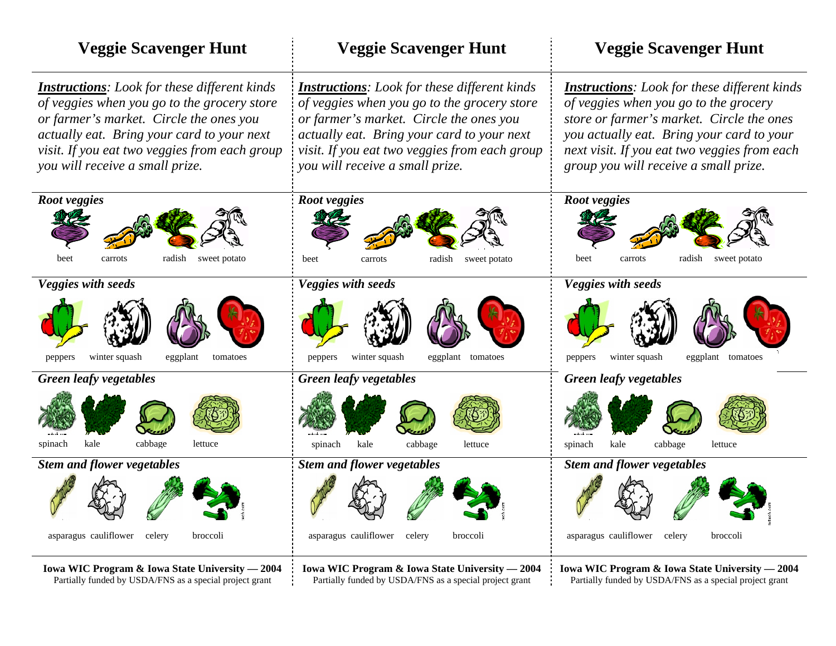| <b>Veggie Scavenger Hunt</b>                                                                                                                                                                                                                                                    | <b>Veggie Scavenger Hunt</b>                                                                                                                                                                                                                                                     | <b>Veggie Scavenger Hunt</b>                                                                                                                                                                                                                                                    |
|---------------------------------------------------------------------------------------------------------------------------------------------------------------------------------------------------------------------------------------------------------------------------------|----------------------------------------------------------------------------------------------------------------------------------------------------------------------------------------------------------------------------------------------------------------------------------|---------------------------------------------------------------------------------------------------------------------------------------------------------------------------------------------------------------------------------------------------------------------------------|
| <b>Instructions:</b> Look for these different kinds<br>of veggies when you go to the grocery store<br>or farmer's market. Circle the ones you<br>actually eat. Bring your card to your next<br>visit. If you eat two veggies from each group<br>you will receive a small prize. | <b>Instructions</b> : Look for these different kinds<br>of veggies when you go to the grocery store<br>or farmer's market. Circle the ones you<br>actually eat. Bring your card to your next<br>visit. If you eat two veggies from each group<br>you will receive a small prize. | <b>Instructions:</b> Look for these different kinds<br>of veggies when you go to the grocery<br>store or farmer's market. Circle the ones<br>you actually eat. Bring your card to your<br>next visit. If you eat two veggies from each<br>group you will receive a small prize. |
| Root veggies<br>radish<br>sweet potato<br>beet<br>carrots                                                                                                                                                                                                                       | Root veggies<br>radish<br>sweet potato<br>beet<br>carrots                                                                                                                                                                                                                        | Root veggies<br>radish<br>sweet potato<br>beet<br>carrots                                                                                                                                                                                                                       |
| Veggies with seeds                                                                                                                                                                                                                                                              | Veggies with seeds                                                                                                                                                                                                                                                               | Veggies with seeds                                                                                                                                                                                                                                                              |
| winter squash<br>eggplant<br>peppers<br>tomatoes                                                                                                                                                                                                                                | winter squash<br>eggplant tomatoes<br>peppers                                                                                                                                                                                                                                    | winter squash<br>eggplant tomatoes<br>peppers                                                                                                                                                                                                                                   |
| <b>Green leafy vegetables</b>                                                                                                                                                                                                                                                   | <b>Green leafy vegetables</b>                                                                                                                                                                                                                                                    | <b>Green leafy vegetables</b>                                                                                                                                                                                                                                                   |
| cabbage<br>spinach<br>kale<br>lettuce                                                                                                                                                                                                                                           | cabbage<br>kale<br>spinach<br>lettuce                                                                                                                                                                                                                                            | spinach<br>kale<br>cabbage<br>lettuce                                                                                                                                                                                                                                           |
| <b>Stem and flower vegetables</b>                                                                                                                                                                                                                                               | <b>Stem and flower vegetables</b>                                                                                                                                                                                                                                                | <b>Stem and flower vegetables</b>                                                                                                                                                                                                                                               |
|                                                                                                                                                                                                                                                                                 |                                                                                                                                                                                                                                                                                  |                                                                                                                                                                                                                                                                                 |
| asparagus cauliflower<br>celery<br>broccoli                                                                                                                                                                                                                                     | asparagus cauliflower<br>celery<br>broccoli                                                                                                                                                                                                                                      | asparagus cauliflower<br>broccoli<br>celery                                                                                                                                                                                                                                     |
| Iowa WIC Program & Iowa State University - 2004<br>Partially funded by USDA/FNS as a special project grant                                                                                                                                                                      | Iowa WIC Program & Iowa State University - 2004<br>Partially funded by USDA/FNS as a special project grant                                                                                                                                                                       | Iowa WIC Program & Iowa State University - 2004<br>Partially funded by USDA/FNS as a special project grant                                                                                                                                                                      |